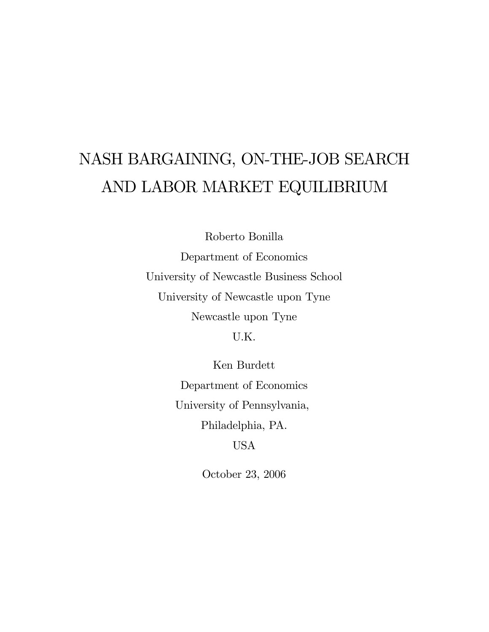# NASH BARGAINING, ON-THE-JOB SEARCH AND LABOR MARKET EQUILIBRIUM

Roberto Bonilla Department of Economics University of Newcastle Business School University of Newcastle upon Tyne Newcastle upon Tyne

U.K.

Ken Burdett Department of Economics University of Pennsylvania, Philadelphia, PA. USA

October 23, 2006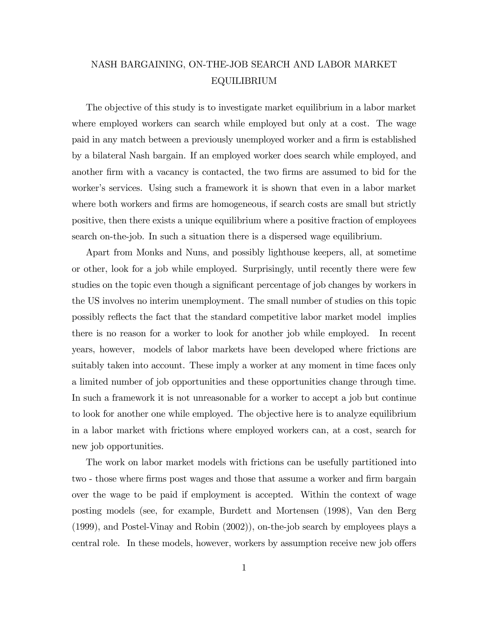# NASH BARGAINING, ON-THE-JOB SEARCH AND LABOR MARKET EQUILIBRIUM

The objective of this study is to investigate market equilibrium in a labor market where employed workers can search while employed but only at a cost. The wage paid in any match between a previously unemployed worker and a firm is established by a bilateral Nash bargain. If an employed worker does search while employed, and another firm with a vacancy is contacted, the two firms are assumed to bid for the worker's services. Using such a framework it is shown that even in a labor market where both workers and firms are homogeneous, if search costs are small but strictly positive, then there exists a unique equilibrium where a positive fraction of employees search on-the-job. In such a situation there is a dispersed wage equilibrium.

Apart from Monks and Nuns, and possibly lighthouse keepers, all, at sometime or other, look for a job while employed. Surprisingly, until recently there were few studies on the topic even though a significant percentage of job changes by workers in the US involves no interim unemployment. The small number of studies on this topic possibly reflects the fact that the standard competitive labor market model implies there is no reason for a worker to look for another job while employed. In recent years, however, models of labor markets have been developed where frictions are suitably taken into account. These imply a worker at any moment in time faces only a limited number of job opportunities and these opportunities change through time. In such a framework it is not unreasonable for a worker to accept a job but continue to look for another one while employed. The objective here is to analyze equilibrium in a labor market with frictions where employed workers can, at a cost, search for new job opportunities.

The work on labor market models with frictions can be usefully partitioned into two - those where firms post wages and those that assume a worker and firm bargain over the wage to be paid if employment is accepted. Within the context of wage posting models (see, for example, Burdett and Mortensen (1998), Van den Berg (1999), and Postel-Vinay and Robin (2002)), on-the-job search by employees plays a central role. In these models, however, workers by assumption receive new job offers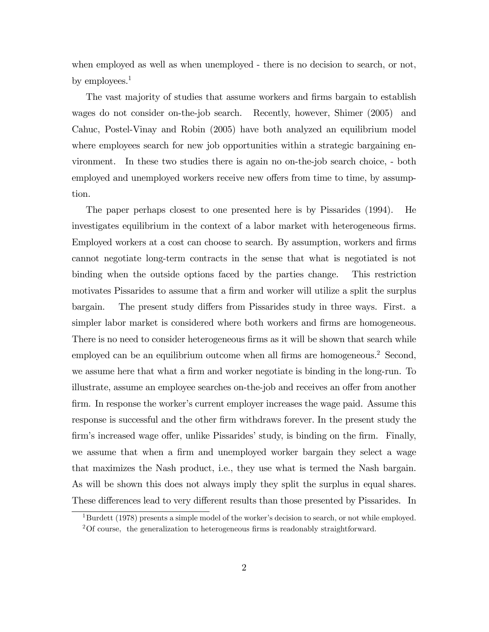when employed as well as when unemployed - there is no decision to search, or not, by employees.<sup>1</sup>

The vast majority of studies that assume workers and firms bargain to establish wages do not consider on-the-job search. Recently, however, Shimer (2005) and Cahuc, Postel-Vinay and Robin (2005) have both analyzed an equilibrium model where employees search for new job opportunities within a strategic bargaining environment. In these two studies there is again no on-the-job search choice, - both employed and unemployed workers receive new offers from time to time, by assumption.

The paper perhaps closest to one presented here is by Pissarides (1994). He investigates equilibrium in the context of a labor market with heterogeneous firms. Employed workers at a cost can choose to search. By assumption, workers and firms cannot negotiate long-term contracts in the sense that what is negotiated is not binding when the outside options faced by the parties change. This restriction motivates Pissarides to assume that a firm and worker will utilize a split the surplus bargain. The present study differs from Pissarides study in three ways. First. a simpler labor market is considered where both workers and firms are homogeneous. There is no need to consider heterogeneous firms as it will be shown that search while employed can be an equilibrium outcome when all firms are homogeneous.<sup>2</sup> Second, we assume here that what a firm and worker negotiate is binding in the long-run. To illustrate, assume an employee searches on-the-job and receives an offer from another firm. In response the worker's current employer increases the wage paid. Assume this response is successful and the other firm withdraws forever. In the present study the firm's increased wage offer, unlike Pissarides' study, is binding on the firm. Finally, we assume that when a firm and unemployed worker bargain they select a wage that maximizes the Nash product, i.e., they use what is termed the Nash bargain. As will be shown this does not always imply they split the surplus in equal shares. These differences lead to very different results than those presented by Pissarides. In

 $1<sup>1</sup>$ Burdett (1978) presents a simple model of the worker's decision to search, or not while employed.  $2^2$ Of course, the generalization to heterogeneous firms is readonably straightforward.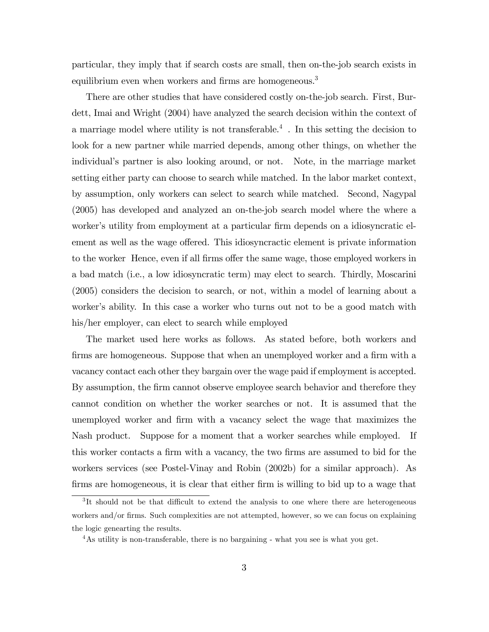particular, they imply that if search costs are small, then on-the-job search exists in equilibrium even when workers and firms are homogeneous.<sup>3</sup>

There are other studies that have considered costly on-the-job search. First, Burdett, Imai and Wright (2004) have analyzed the search decision within the context of a marriage model where utility is not transferable.<sup>4</sup> . In this setting the decision to look for a new partner while married depends, among other things, on whether the individualís partner is also looking around, or not. Note, in the marriage market setting either party can choose to search while matched. In the labor market context, by assumption, only workers can select to search while matched. Second, Nagypal (2005) has developed and analyzed an on-the-job search model where the where a worker's utility from employment at a particular firm depends on a idiosyncratic element as well as the wage offered. This idiosyncractic element is private information to the worker Hence, even if all firms offer the same wage, those employed workers in a bad match (i.e., a low idiosyncratic term) may elect to search. Thirdly, Moscarini (2005) considers the decision to search, or not, within a model of learning about a worker's ability. In this case a worker who turns out not to be a good match with his/her employer, can elect to search while employed

The market used here works as follows. As stated before, both workers and firms are homogeneous. Suppose that when an unemployed worker and a firm with a vacancy contact each other they bargain over the wage paid if employment is accepted. By assumption, the firm cannot observe employee search behavior and therefore they cannot condition on whether the worker searches or not. It is assumed that the unemployed worker and Örm with a vacancy select the wage that maximizes the Nash product. Suppose for a moment that a worker searches while employed. If this worker contacts a firm with a vacancy, the two firms are assumed to bid for the workers services (see Postel-Vinay and Robin (2002b) for a similar approach). As firms are homogeneous, it is clear that either firm is willing to bid up to a wage that

<sup>&</sup>lt;sup>3</sup>It should not be that difficult to extend the analysis to one where there are heterogeneous workers and/or firms. Such complexities are not attempted, however, so we can focus on explaining the logic genearting the results.

<sup>&</sup>lt;sup>4</sup>As utility is non-transferable, there is no bargaining - what you see is what you get.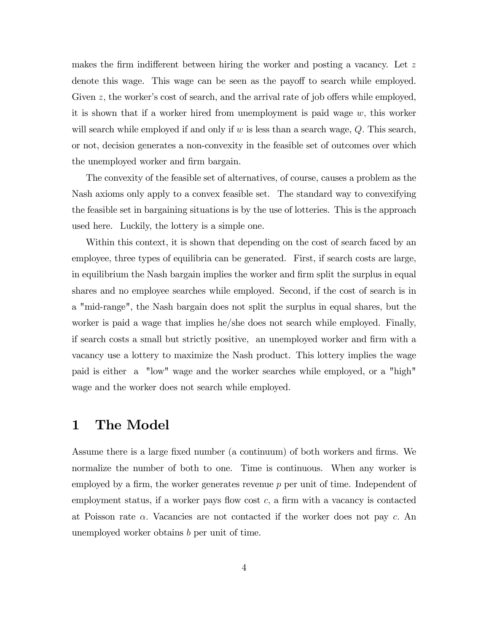makes the firm indifferent between hiring the worker and posting a vacancy. Let  $z$ denote this wage. This wage can be seen as the payoff to search while employed. Given  $z$ , the worker's cost of search, and the arrival rate of job offers while employed, it is shown that if a worker hired from unemployment is paid wage  $w$ , this worker will search while employed if and only if  $w$  is less than a search wage,  $Q$ . This search, or not, decision generates a non-convexity in the feasible set of outcomes over which the unemployed worker and firm bargain.

The convexity of the feasible set of alternatives, of course, causes a problem as the Nash axioms only apply to a convex feasible set. The standard way to convexifying the feasible set in bargaining situations is by the use of lotteries. This is the approach used here. Luckily, the lottery is a simple one.

Within this context, it is shown that depending on the cost of search faced by an employee, three types of equilibria can be generated. First, if search costs are large, in equilibrium the Nash bargain implies the worker and firm split the surplus in equal shares and no employee searches while employed. Second, if the cost of search is in a "mid-range", the Nash bargain does not split the surplus in equal shares, but the worker is paid a wage that implies he/she does not search while employed. Finally, if search costs a small but strictly positive, an unemployed worker and firm with a vacancy use a lottery to maximize the Nash product. This lottery implies the wage paid is either a "low" wage and the worker searches while employed, or a "high" wage and the worker does not search while employed.

# 1 The Model

Assume there is a large fixed number (a continuum) of both workers and firms. We normalize the number of both to one. Time is continuous. When any worker is employed by a firm, the worker generates revenue  $p$  per unit of time. Independent of employment status, if a worker pays flow cost  $c$ , a firm with a vacancy is contacted at Poisson rate  $\alpha$ . Vacancies are not contacted if the worker does not pay c. An unemployed worker obtains b per unit of time.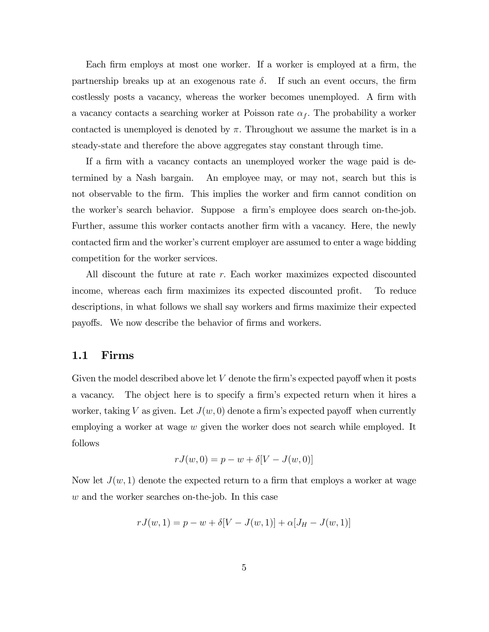Each firm employs at most one worker. If a worker is employed at a firm, the partnership breaks up at an exogenous rate  $\delta$ . If such an event occurs, the firm costlessly posts a vacancy, whereas the worker becomes unemployed. A firm with a vacancy contacts a searching worker at Poisson rate  $\alpha_f$ . The probability a worker contacted is unemployed is denoted by  $\pi$ . Throughout we assume the market is in a steady-state and therefore the above aggregates stay constant through time.

If a firm with a vacancy contacts an unemployed worker the wage paid is determined by a Nash bargain. An employee may, or may not, search but this is not observable to the firm. This implies the worker and firm cannot condition on the worker's search behavior. Suppose a firm's employee does search on-the-job. Further, assume this worker contacts another firm with a vacancy. Here, the newly contacted firm and the worker's current employer are assumed to enter a wage bidding competition for the worker services.

All discount the future at rate  $r$ . Each worker maximizes expected discounted income, whereas each firm maximizes its expected discounted profit. To reduce descriptions, in what follows we shall say workers and firms maximize their expected payoffs. We now describe the behavior of firms and workers.

## 1.1 Firms

Given the model described above let  $V$  denote the firm's expected payoff when it posts a vacancy. The object here is to specify a firm's expected return when it hires a worker, taking V as given. Let  $J(w, 0)$  denote a firm's expected payoff when currently employing a worker at wage w given the worker does not search while employed. It follows

$$
rJ(w, 0) = p - w + \delta[V - J(w, 0)]
$$

Now let  $J(w, 1)$  denote the expected return to a firm that employs a worker at wage w and the worker searches on-the-job. In this case

$$
rJ(w, 1) = p - w + \delta[V - J(w, 1)] + \alpha[J_H - J(w, 1)]
$$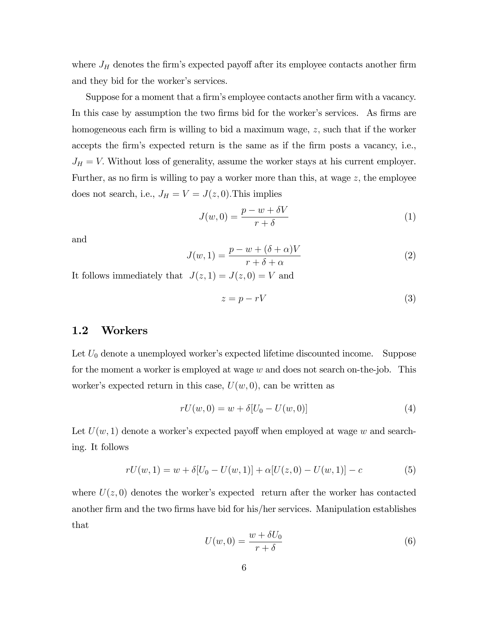where  $J_H$  denotes the firm's expected payoff after its employee contacts another firm and they bid for the worker's services.

Suppose for a moment that a firm's employee contacts another firm with a vacancy. In this case by assumption the two firms bid for the worker's services. As firms are homogeneous each firm is willing to bid a maximum wage,  $z$ , such that if the worker accepts the firm's expected return is the same as if the firm posts a vacancy, i.e.,  $J_H = V$ . Without loss of generality, assume the worker stays at his current employer. Further, as no firm is willing to pay a worker more than this, at wage  $z$ , the employee does not search, i.e.,  $J_H = V = J(z, 0)$ . This implies

$$
J(w,0) = \frac{p-w+\delta V}{r+\delta} \tag{1}
$$

and

$$
J(w,1) = \frac{p - w + (\delta + \alpha)V}{r + \delta + \alpha}
$$
 (2)

It follows immediately that  $J(z, 1) = J(z, 0) = V$  and

$$
z = p - rV \tag{3}
$$

## 1.2 Workers

Let  $U_0$  denote a unemployed worker's expected lifetime discounted income. Suppose for the moment a worker is employed at wage w and does not search on-the-job. This worker's expected return in this case,  $U(w, 0)$ , can be written as

$$
rU(w,0) = w + \delta[U_0 - U(w,0)]
$$
\n(4)

Let  $U(w, 1)$  denote a worker's expected payoff when employed at wage w and searching. It follows

$$
rU(w,1) = w + \delta[U_0 - U(w,1)] + \alpha[U(z,0) - U(w,1)] - c \tag{5}
$$

where  $U(z, 0)$  denotes the worker's expected return after the worker has contacted another firm and the two firms have bid for his/her services. Manipulation establishes that

$$
U(w,0) = \frac{w + \delta U_0}{r + \delta} \tag{6}
$$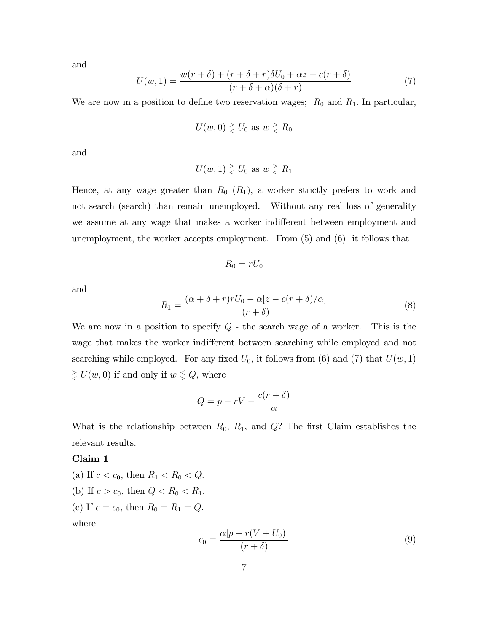and

$$
U(w,1) = \frac{w(r+\delta) + (r+\delta+r)\delta U_0 + \alpha z - c(r+\delta)}{(r+\delta+\alpha)(\delta+r)}
$$
(7)

We are now in a position to define two reservation wages;  $R_0$  and  $R_1$ . In particular,

$$
U(w,0) \gtrless U_0 \text{ as } w \gtrless R_0
$$

and

$$
U(w, 1) \geq U_0
$$
 as  $w \geq R_1$ 

Hence, at any wage greater than  $R_0$   $(R_1)$ , a worker strictly prefers to work and not search (search) than remain unemployed. Without any real loss of generality we assume at any wage that makes a worker indifferent between employment and unemployment, the worker accepts employment. From (5) and (6) it follows that

$$
R_0 = rU_0
$$

and

$$
R_1 = \frac{(\alpha + \delta + r)rU_0 - \alpha[z - c(r + \delta)/\alpha]}{(r + \delta)}\tag{8}
$$

We are now in a position to specify  $Q$  - the search wage of a worker. This is the wage that makes the worker indifferent between searching while employed and not searching while employed. For any fixed  $U_0$ , it follows from (6) and (7) that  $U(w, 1)$  $\frac{1}{\leq}$   $U(w, 0)$  if and only if  $w \leq Q$ , where

$$
Q = p - rV - \frac{c(r+\delta)}{\alpha}
$$

What is the relationship between  $R_0$ ,  $R_1$ , and  $Q$ ? The first Claim establishes the relevant results.

## Claim 1

(a) If  $c < c_0$ , then  $R_1 < R_0 < Q$ . (b) If  $c > c_0$ , then  $Q < R_0 < R_1$ . (c) If  $c = c_0$ , then  $R_0 = R_1 = Q$ . where

$$
c_0 = \frac{\alpha[p - r(V + U_0)]}{(r + \delta)}
$$
\n(9)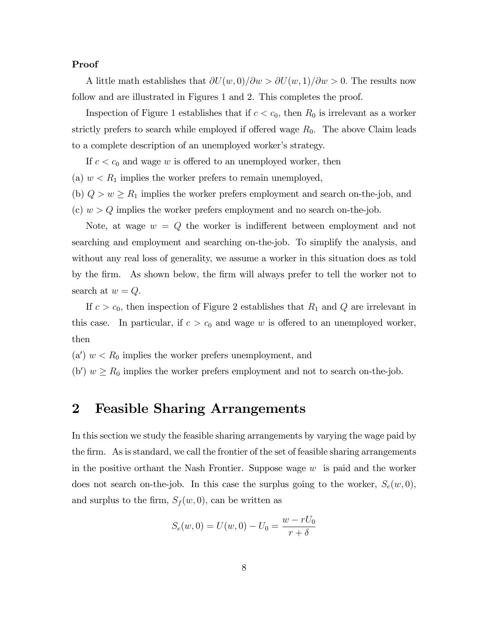### Proof

A little math establishes that  $\partial U(w, 0)/\partial w > \partial U(w, 1)/\partial w > 0$ . The results now follow and are illustrated in Figures 1 and 2. This completes the proof.

Inspection of Figure 1 establishes that if  $c < c_0$ , then  $R_0$  is irrelevant as a worker strictly prefers to search while employed if offered wage  $R_0$ . The above Claim leads to a complete description of an unemployed worker's strategy.

If  $c < c_0$  and wage w is offered to an unemployed worker, then

(a)  $w < R_1$  implies the worker prefers to remain unemployed,

(b)  $Q > w \ge R_1$  implies the worker prefers employment and search on-the-job, and (c)  $w > Q$  implies the worker prefers employment and no search on-the-job.

Note, at wage  $w = Q$  the worker is indifferent between employment and not searching and employment and searching on-the-job. To simplify the analysis, and without any real loss of generality, we assume a worker in this situation does as told by the firm. As shown below, the firm will always prefer to tell the worker not to search at  $w = Q$ .

If  $c > c_0$ , then inspection of Figure 2 establishes that  $R_1$  and Q are irrelevant in this case. In particular, if  $c > c_0$  and wage w is offered to an unemployed worker, then

(a')  $w < R_0$  implies the worker prefers unemployment, and

(b')  $w \ge R_0$  implies the worker prefers employment and not to search on-the-job.

# 2 Feasible Sharing Arrangements

In this section we study the feasible sharing arrangements by varying the wage paid by the firm. As is standard, we call the frontier of the set of feasible sharing arrangements in the positive orthant the Nash Frontier. Suppose wage  $w$  is paid and the worker does not search on-the-job. In this case the surplus going to the worker,  $S_e(w, 0)$ , and surplus to the firm,  $S_f (w, 0)$ , can be written as

$$
S_e(w, 0) = U(w, 0) - U_0 = \frac{w - rU_0}{r + \delta}
$$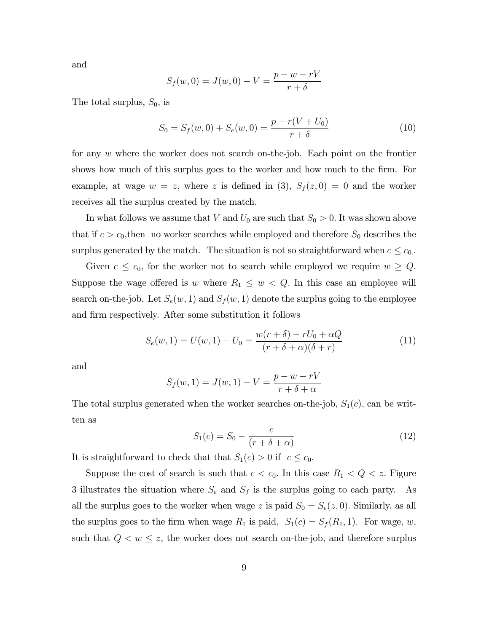and

$$
S_f(w, 0) = J(w, 0) - V = \frac{p - w - rV}{r + \delta}
$$

The total surplus,  $S_0$ , is

$$
S_0 = S_f(w, 0) + S_e(w, 0) = \frac{p - r(V + U_0)}{r + \delta}
$$
\n(10)

for any w where the worker does not search on-the-job. Each point on the frontier shows how much of this surplus goes to the worker and how much to the firm. For example, at wage  $w = z$ , where z is defined in (3),  $S_f(z, 0) = 0$  and the worker receives all the surplus created by the match.

In what follows we assume that V and  $U_0$  are such that  $S_0 > 0$ . It was shown above that if  $c > c_0$ , then no worker searches while employed and therefore  $S_0$  describes the surplus generated by the match. The situation is not so straightforward when  $c \leq c_0$ .

Given  $c \leq c_0$ , for the worker not to search while employed we require  $w \geq Q$ . Suppose the wage offered is w where  $R_1 \leq w < Q$ . In this case an employee will search on-the-job. Let  $S_e(w, 1)$  and  $S_f(w, 1)$  denote the surplus going to the employee and firm respectively. After some substitution it follows

$$
S_e(w, 1) = U(w, 1) - U_0 = \frac{w(r + \delta) - rU_0 + \alpha Q}{(r + \delta + \alpha)(\delta + r)}
$$
(11)

and

$$
S_f(w, 1) = J(w, 1) - V = \frac{p - w - rV}{r + \delta + \alpha}
$$

The total surplus generated when the worker searches on-the-job,  $S_1(c)$ , can be written as

$$
S_1(c) = S_0 - \frac{c}{(r + \delta + \alpha)}\tag{12}
$$

It is straightforward to check that that  $S_1(c) > 0$  if  $c \leq c_0$ .

Suppose the cost of search is such that  $c < c_0$ . In this case  $R_1 < Q < z$ . Figure 3 illustrates the situation where  $S_e$  and  $S_f$  is the surplus going to each party. As all the surplus goes to the worker when wage z is paid  $S_0 = S_e(z, 0)$ . Similarly, as all the surplus goes to the firm when wage  $R_1$  is paid,  $S_1(c) = S_f(R_1, 1)$ . For wage, w, such that  $Q < w \leq z$ , the worker does not search on-the-job, and therefore surplus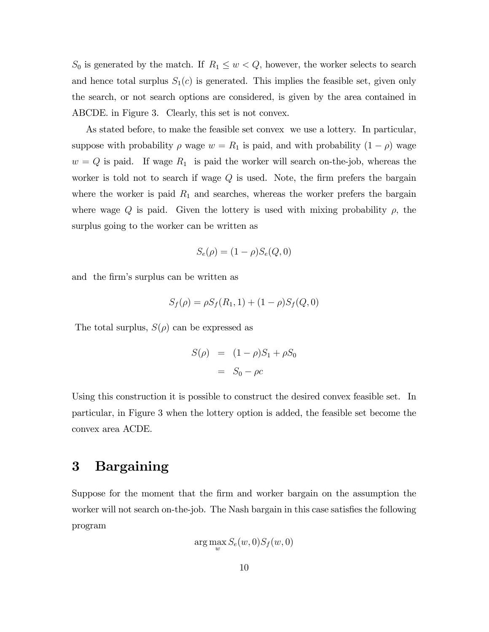$S_0$  is generated by the match. If  $R_1 \leq w < Q$ , however, the worker selects to search and hence total surplus  $S_1(c)$  is generated. This implies the feasible set, given only the search, or not search options are considered, is given by the area contained in ABCDE. in Figure 3. Clearly, this set is not convex.

As stated before, to make the feasible set convex we use a lottery. In particular, suppose with probability  $\rho$  wage  $w = R_1$  is paid, and with probability  $(1 - \rho)$  wage  $w = Q$  is paid. If wage  $R_1$  is paid the worker will search on-the-job, whereas the worker is told not to search if wage  $Q$  is used. Note, the firm prefers the bargain where the worker is paid  $R_1$  and searches, whereas the worker prefers the bargain where wage Q is paid. Given the lottery is used with mixing probability  $\rho$ , the surplus going to the worker can be written as

$$
S_e(\rho) = (1 - \rho)S_e(Q, 0)
$$

and the firm's surplus can be written as

$$
S_f(\rho) = \rho S_f(R_1, 1) + (1 - \rho) S_f(Q, 0)
$$

The total surplus,  $S(\rho)$  can be expressed as

$$
S(\rho) = (1 - \rho)S_1 + \rho S_0
$$

$$
= S_0 - \rho c
$$

Using this construction it is possible to construct the desired convex feasible set. In particular, in Figure 3 when the lottery option is added, the feasible set become the convex area ACDE.

# 3 Bargaining

Suppose for the moment that the Örm and worker bargain on the assumption the worker will not search on-the-job. The Nash bargain in this case satisfies the following program

$$
\arg\max_{w} S_e(w,0) S_f(w,0)
$$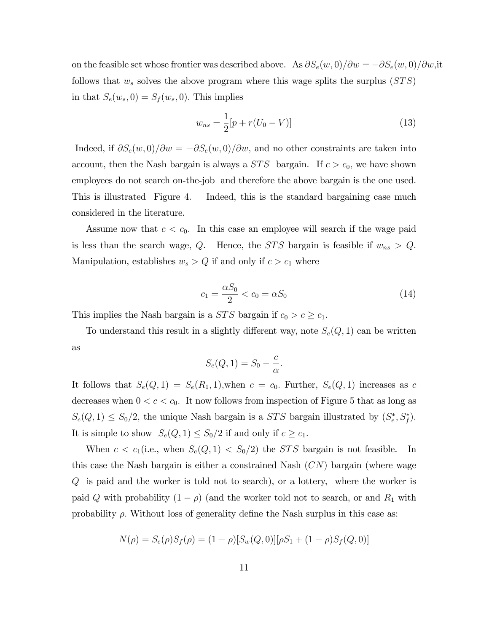on the feasible set whose frontier was described above. As  $\partial S_e(w, 0)/\partial w = -\partial S_e(w, 0)/\partial w$ , it follows that  $w_s$  solves the above program where this wage splits the surplus  $(STS)$ in that  $S_e(w_s, 0) = S_f(w_s, 0)$ . This implies

$$
w_{ns} = \frac{1}{2} [p + r(U_0 - V)] \tag{13}
$$

Indeed, if  $\partial S_e(w, 0)/\partial w = -\partial S_e(w, 0)/\partial w$ , and no other constraints are taken into account, then the Nash bargain is always a  $STS$  bargain. If  $c > c_0$ , we have shown employees do not search on-the-job and therefore the above bargain is the one used. This is illustrated Figure 4. Indeed, this is the standard bargaining case much considered in the literature.

Assume now that  $c < c_0$ . In this case an employee will search if the wage paid is less than the search wage, Q. Hence, the STS bargain is feasible if  $w_{ns} > Q$ . Manipulation, establishes  $w_s > Q$  if and only if  $c > c_1$  where

$$
c_1 = \frac{\alpha S_0}{2} < c_0 = \alpha S_0 \tag{14}
$$

This implies the Nash bargain is a *STS* bargain if  $c_0 > c \geq c_1$ .

To understand this result in a slightly different way, note  $S_e(Q, 1)$  can be written as

$$
S_e(Q, 1) = S_0 - \frac{c}{\alpha}.
$$

It follows that  $S_e(Q, 1) = S_e(R_1, 1)$ , when  $c = c_0$ . Further,  $S_e(Q, 1)$  increases as c decreases when  $0 < c < c_0$ . It now follows from inspection of Figure 5 that as long as  $S_e(Q, 1) \leq S_0/2$ , the unique Nash bargain is a *STS* bargain illustrated by  $(S_e^*, S_f^*)$ . It is simple to show  $S_e(Q, 1) \leq S_0/2$  if and only if  $c \geq c_1$ .

When  $c < c_1$ (i.e., when  $S_e(Q, 1) < S_0/2$ ) the *STS* bargain is not feasible. In this case the Nash bargain is either a constrained Nash  $(CN)$  bargain (where wage  $Q$  is paid and the worker is told not to search), or a lottery, where the worker is paid Q with probability  $(1 - \rho)$  (and the worker told not to search, or and  $R_1$  with probability  $\rho$ . Without loss of generality define the Nash surplus in this case as:

$$
N(\rho) = S_e(\rho)S_f(\rho) = (1 - \rho)[S_w(Q, 0)][\rho S_1 + (1 - \rho)S_f(Q, 0)]
$$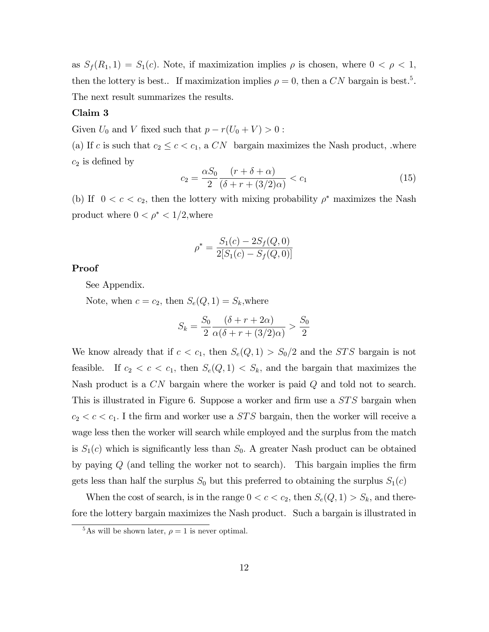as  $S_f(R_1, 1) = S_1(c)$ . Note, if maximization implies  $\rho$  is chosen, where  $0 < \rho < 1$ , then the lottery is best.. If maximization implies  $\rho = 0$ , then a CN bargain is best.<sup>5</sup>. The next result summarizes the results.

## Claim 3

Given  $U_0$  and V fixed such that  $p - r(U_0 + V) > 0$ :

(a) If c is such that  $c_2 \leq c < c_1$ , a CN bargain maximizes the Nash product, where  $c_2$  is defined by

$$
c_2 = \frac{\alpha S_0}{2} \frac{(r + \delta + \alpha)}{(\delta + r + (3/2)\alpha)} < c_1 \tag{15}
$$

(b) If  $0 < c < c_2$ , then the lottery with mixing probability  $\rho^*$  maximizes the Nash product where  $0 < \rho^* < 1/2$ , where

$$
\rho^* = \frac{S_1(c) - 2S_f(Q, 0)}{2[S_1(c) - S_f(Q, 0)]}
$$

## Proof

See Appendix.

Note, when  $c = c_2$ , then  $S_e(Q, 1) = S_k$ , where

$$
S_k = \frac{S_0}{2} \frac{(\delta + r + 2\alpha)}{\alpha(\delta + r + (3/2)\alpha)} > \frac{S_0}{2}
$$

We know already that if  $c < c_1$ , then  $S_e(Q, 1) > S_0/2$  and the *STS* bargain is not feasible. If  $c_2 < c < c_1$ , then  $S_e(Q, 1) < S_k$ , and the bargain that maximizes the Nash product is a CN bargain where the worker is paid Q and told not to search. This is illustrated in Figure 6. Suppose a worker and firm use a  $STS$  bargain when  $c_2 < c < c_1$ . I the firm and worker use a *STS* bargain, then the worker will receive a wage less then the worker will search while employed and the surplus from the match is  $S_1(c)$  which is significantly less than  $S_0$ . A greater Nash product can be obtained by paying  $Q$  (and telling the worker not to search). This bargain implies the firm gets less than half the surplus  $S_0$  but this preferred to obtaining the surplus  $S_1(c)$ 

When the cost of search, is in the range  $0 < c < c_2$ , then  $S_e(Q, 1) > S_k$ , and therefore the lottery bargain maximizes the Nash product. Such a bargain is illustrated in

<sup>&</sup>lt;sup>5</sup>As will be shown later,  $\rho = 1$  is never optimal.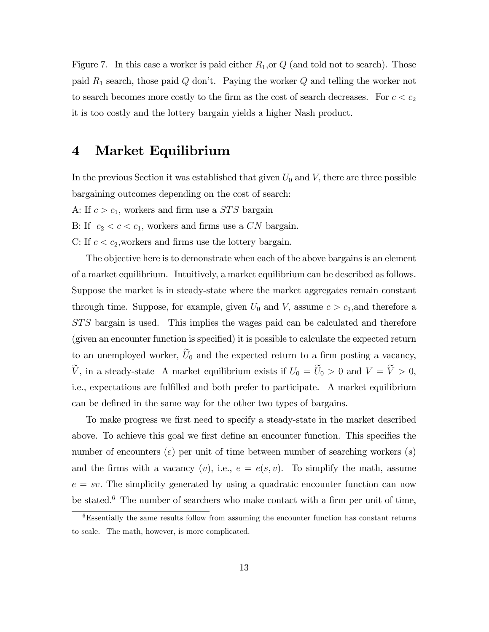Figure 7. In this case a worker is paid either  $R_1$ , or  $Q$  (and told not to search). Those paid  $R_1$  search, those paid  $Q$  don't. Paying the worker  $Q$  and telling the worker not to search becomes more costly to the firm as the cost of search decreases. For  $c < c_2$ it is too costly and the lottery bargain yields a higher Nash product.

# 4 Market Equilibrium

In the previous Section it was established that given  $U_0$  and  $V$ , there are three possible bargaining outcomes depending on the cost of search:

- A: If  $c > c_1$ , workers and firm use a *STS* bargain
- B: If  $c_2 < c < c_1$ , workers and firms use a CN bargain.
- C: If  $c < c_2$ , workers and firms use the lottery bargain.

The objective here is to demonstrate when each of the above bargains is an element of a market equilibrium. Intuitively, a market equilibrium can be described as follows. Suppose the market is in steady-state where the market aggregates remain constant through time. Suppose, for example, given  $U_0$  and V, assume  $c > c_1$ , and therefore a ST S bargain is used. This implies the wages paid can be calculated and therefore (given an encounter function is specified) it is possible to calculate the expected return to an unemployed worker,  $\widetilde{U}_0$  and the expected return to a firm posting a vacancy,  $\widetilde{V}$ , in a steady-state A market equilibrium exists if  $U_0 = \widetilde{U}_0 > 0$  and  $V = \widetilde{V} > 0$ , i.e., expectations are fulfilled and both prefer to participate. A market equilibrium can be defined in the same way for the other two types of bargains.

To make progress we first need to specify a steady-state in the market described above. To achieve this goal we first define an encounter function. This specifies the number of encounters  $(e)$  per unit of time between number of searching workers  $(s)$ and the firms with a vacancy  $(v)$ , i.e.,  $e = e(s, v)$ . To simplify the math, assume  $e = sv$ . The simplicity generated by using a quadratic encounter function can now be stated.<sup>6</sup> The number of searchers who make contact with a firm per unit of time,

 $6$ Essentially the same results follow from assuming the encounter function has constant returns to scale. The math, however, is more complicated.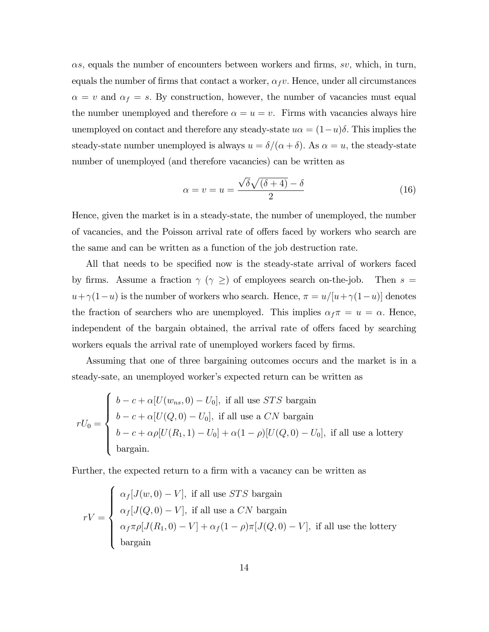$\alpha s$ , equals the number of encounters between workers and firms, sv, which, in turn, equals the number of firms that contact a worker,  $\alpha_f v$ . Hence, under all circumstances  $\alpha = v$  and  $\alpha_f = s$ . By construction, however, the number of vacancies must equal the number unemployed and therefore  $\alpha = u = v$ . Firms with vacancies always hire unemployed on contact and therefore any steady-state  $u\alpha = (1-u)\delta$ . This implies the steady-state number unemployed is always  $u = \delta/(\alpha + \delta)$ . As  $\alpha = u$ , the steady-state number of unemployed (and therefore vacancies) can be written as

$$
\alpha = v = u = \frac{\sqrt{\delta}\sqrt{(\delta + 4)} - \delta}{2} \tag{16}
$$

Hence, given the market is in a steady-state, the number of unemployed, the number of vacancies, and the Poisson arrival rate of offers faced by workers who search are the same and can be written as a function of the job destruction rate.

All that needs to be specified now is the steady-state arrival of workers faced by firms. Assume a fraction  $\gamma$  ( $\gamma \geq 0$ ) of employees search on-the-job. Then  $s =$  $u + \gamma(1-u)$  is the number of workers who search. Hence,  $\pi = u/[u + \gamma(1-u)]$  denotes the fraction of searchers who are unemployed. This implies  $\alpha_f \pi = u = \alpha$ . Hence, independent of the bargain obtained, the arrival rate of offers faced by searching workers equals the arrival rate of unemployed workers faced by firms.

Assuming that one of three bargaining outcomes occurs and the market is in a steady-sate, an unemployed worker's expected return can be written as

$$
rU_0 = \begin{cases} b - c + \alpha [U(w_{ns}, 0) - U_0], \text{ if all use } STS \text{ bargain} \\ b - c + \alpha [U(Q, 0) - U_0], \text{ if all use a } CN \text{ bargain} \\ b - c + \alpha \rho [U(R_1, 1) - U_0] + \alpha (1 - \rho)[U(Q, 0) - U_0], \text{ if all use a lottery} \\ \text{bargain.} \end{cases}
$$

Further, the expected return to a firm with a vacancy can be written as

$$
rV = \begin{cases} \alpha_f[J(w,0) - V], \text{ if all use } STS \text{ bargain} \\ \alpha_f[J(Q,0) - V], \text{ if all use a } CN \text{ bargain} \\ \alpha_f \pi \rho[J(R_1,0) - V] + \alpha_f(1 - \rho)\pi[J(Q,0) - V], \text{ if all use the lottery} \\ \text{bargain} \end{cases}
$$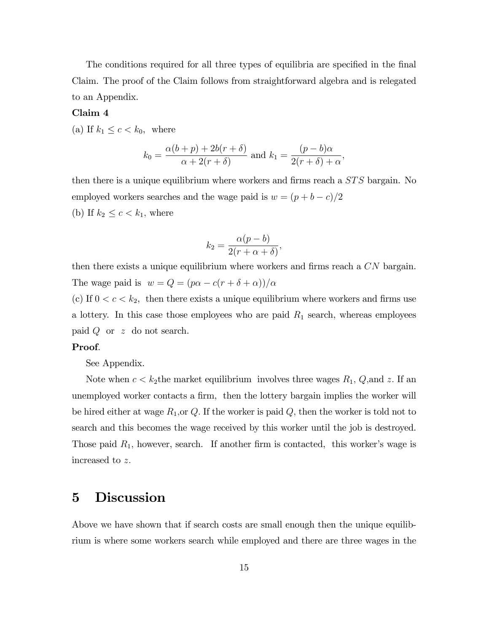The conditions required for all three types of equilibria are specified in the final Claim. The proof of the Claim follows from straightforward algebra and is relegated to an Appendix.

#### Claim 4

(a) If  $k_1 \leq c < k_0$ , where

$$
k_0 = \frac{\alpha(b+p) + 2b(r+\delta)}{\alpha + 2(r+\delta)}
$$
 and  $k_1 = \frac{(p-b)\alpha}{2(r+\delta) + \alpha}$ ,

then there is a unique equilibrium where workers and firms reach a  $STS$  bargain. No employed workers searches and the wage paid is  $w = (p + b - c)/2$ (b) If  $k_2 \leq c \leq k_1$ , where

$$
k_2 = \frac{\alpha(p-b)}{2(r+\alpha+\delta)},
$$

then there exists a unique equilibrium where workers and firms reach a  $CN$  bargain. The wage paid is  $w = Q = (p\alpha - c(r + \delta + \alpha))/\alpha$ 

(c) If  $0 < c < k_2$ , then there exists a unique equilibrium where workers and firms use a lottery. In this case those employees who are paid  $R_1$  search, whereas employees paid  $Q$  or  $z$  do not search.

#### Proof.

See Appendix.

Note when  $c < k_2$ the market equilibrium involves three wages  $R_1$ ,  $Q$ , and z. If an unemployed worker contacts a firm, then the lottery bargain implies the worker will be hired either at wage  $R_1$ , or Q. If the worker is paid Q, then the worker is told not to search and this becomes the wage received by this worker until the job is destroyed. Those paid  $R_1$ , however, search. If another firm is contacted, this worker's wage is increased to z:

# 5 Discussion

Above we have shown that if search costs are small enough then the unique equilibrium is where some workers search while employed and there are three wages in the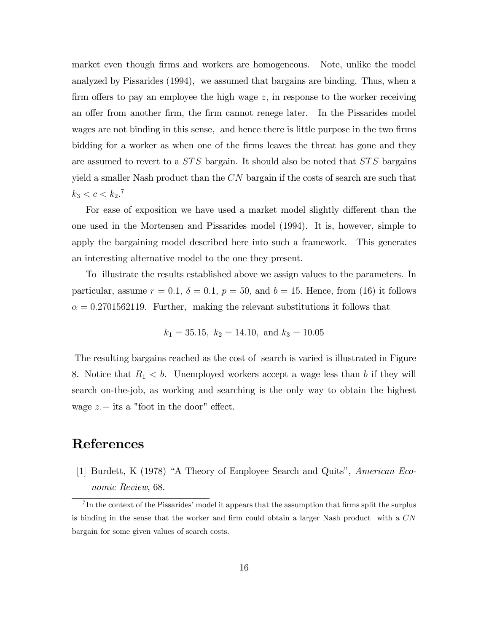market even though firms and workers are homogeneous. Note, unlike the model analyzed by Pissarides (1994), we assumed that bargains are binding. Thus, when a firm offers to pay an employee the high wage  $z$ , in response to the worker receiving an offer from another firm, the firm cannot renege later. In the Pissarides model wages are not binding in this sense, and hence there is little purpose in the two firms bidding for a worker as when one of the firms leaves the threat has gone and they are assumed to revert to a  $STS$  bargain. It should also be noted that  $STS$  bargains yield a smaller Nash product than the  $CN$  bargain if the costs of search are such that  $k_3 < c < k_2$ .<sup>7</sup>

For ease of exposition we have used a market model slightly different than the one used in the Mortensen and Pissarides model (1994). It is, however, simple to apply the bargaining model described here into such a framework. This generates an interesting alternative model to the one they present.

To illustrate the results established above we assign values to the parameters. In particular, assume  $r = 0.1$ ,  $\delta = 0.1$ ,  $p = 50$ , and  $b = 15$ . Hence, from (16) it follows  $\alpha = 0.2701562119$ . Further, making the relevant substitutions it follows that

$$
k_1 = 35.15
$$
,  $k_2 = 14.10$ , and  $k_3 = 10.05$ 

The resulting bargains reached as the cost of search is varied is illustrated in Figure 8. Notice that  $R_1 < b$ . Unemployed workers accept a wage less than b if they will search on-the-job, as working and searching is the only way to obtain the highest wage  $z -$  its a "foot in the door" effect.

# References

[1] Burdett, K (1978) "A Theory of Employee Search and Quits", American Economic Review, 68.

 ${}^{7}$ In the context of the Pissarides' model it appears that the assumption that firms split the surplus is binding in the sense that the worker and firm could obtain a larger Nash product with a  $CN$ bargain for some given values of search costs.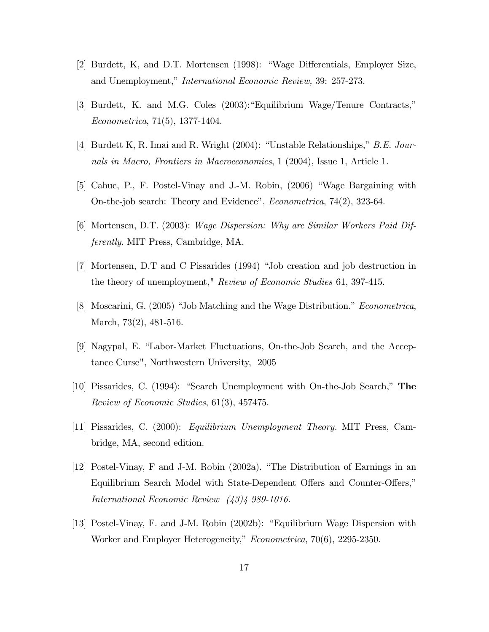- [2] Burdett, K, and D.T. Mortensen (1998): "Wage Differentials, Employer Size, and Unemployment," *International Economic Review*, 39: 257-273.
- [3] Burdett, K. and M.G. Coles  $(2003)$ : "Equilibrium Wage/Tenure Contracts," Econometrica, 71(5), 1377-1404.
- [4] Burdett K, R. Imai and R. Wright  $(2004)$ : "Unstable Relationships," B.E. Journals in Macro, Frontiers in Macroeconomics, 1 (2004), Issue 1, Article 1.
- [5] Cahuc, P., F. Postel-Vinay and J.-M. Robin, (2006) "Wage Bargaining with On-the-job search: Theory and Evidence", *Econometrica*, 74(2), 323-64.
- [6] Mortensen, D.T. (2003): Wage Dispersion: Why are Similar Workers Paid Differently. MIT Press, Cambridge, MA.
- [7] Mortensen, D.T and C Pissarides (1994) "Job creation and job destruction in the theory of unemployment," Review of Economic Studies 61, 397-415.
- [8] Moscarini, G. (2005) "Job Matching and the Wage Distribution." *Econometrica*, March, 73(2), 481-516.
- [9] Nagypal, E. "Labor-Market Fluctuations, On-the-Job Search, and the Acceptance Curse", Northwestern University, 2005
- [10] Pissarides, C. (1994): "Search Unemployment with On-the-Job Search," The Review of Economic Studies, 61(3), 457475.
- [11] Pissarides, C. (2000): Equilibrium Unemployment Theory. MIT Press, Cambridge, MA, second edition.
- [12] Postel-Vinay, F and J-M. Robin  $(2002a)$ . "The Distribution of Earnings in an Equilibrium Search Model with State-Dependent Offers and Counter-Offers," International Economic Review (43)4 989-1016.
- [13] Postel-Vinay, F. and J-M. Robin (2002b): "Equilibrium Wage Dispersion with Worker and Employer Heterogeneity," Econometrica, 70(6), 2295-2350.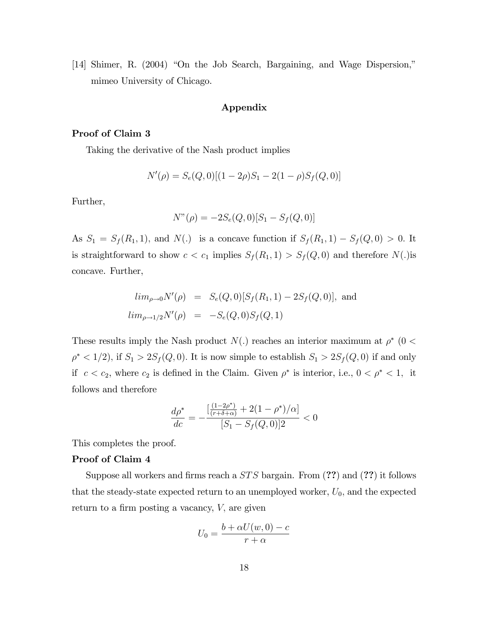[14] Shimer, R. (2004) "On the Job Search, Bargaining, and Wage Dispersion," mimeo University of Chicago.

## Appendix

## Proof of Claim 3

Taking the derivative of the Nash product implies

$$
N'(\rho) = S_e(Q, 0)[(1 - 2\rho)S_1 - 2(1 - \rho)S_f(Q, 0)]
$$

Further,

$$
N''(\rho) = -2S_e(Q,0)[S_1 - S_f(Q,0)]
$$

As  $S_1 = S_f(R_1, 1)$ , and  $N(.)$  is a concave function if  $S_f(R_1, 1) - S_f(Q, 0) > 0$ . It is straightforward to show  $c < c_1$  implies  $S_f(R_1, 1) > S_f(Q, 0)$  and therefore  $N(.)$ is concave. Further,

$$
lim_{\rho \to 0} N'(\rho) = S_e(Q, 0)[S_f(R_1, 1) - 2S_f(Q, 0)],
$$
 and  

$$
lim_{\rho \to 1/2} N'(\rho) = -S_e(Q, 0)S_f(Q, 1)
$$

These results imply the Nash product  $N(.)$  reaches an interior maximum at  $\rho^*$  (0 <  $\rho^*$  < 1/2), if  $S_1 > 2S_f(Q, 0)$ . It is now simple to establish  $S_1 > 2S_f(Q, 0)$  if and only if  $c < c_2$ , where  $c_2$  is defined in the Claim. Given  $\rho^*$  is interior, i.e.,  $0 < \rho^* < 1$ , it follows and therefore

$$
\frac{d\rho^*}{dc} = -\frac{\left[\frac{(1-2\rho^*)}{(r+\delta+\alpha)} + 2(1-\rho^*)/\alpha\right]}{[S_1 - S_f(Q, 0)]2} < 0
$$

This completes the proof.

### Proof of Claim 4

Suppose all workers and firms reach a  $STS$  bargain. From  $(??)$  and  $(??)$  it follows that the steady-state expected return to an unemployed worker,  $U_0$ , and the expected return to a firm posting a vacancy,  $V$ , are given

$$
U_0 = \frac{b + \alpha U(w, 0) - c}{r + \alpha}
$$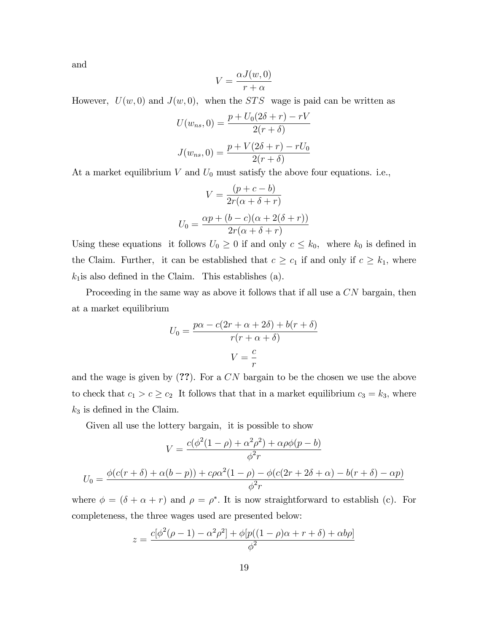and

$$
V = \frac{\alpha J(w, 0)}{r + \alpha}
$$

However,  $U(w, 0)$  and  $J(w, 0)$ , when the *STS* wage is paid can be written as

$$
U(w_{ns}, 0) = \frac{p + U_0(2\delta + r) - rV}{2(r + \delta)}
$$

$$
J(w_{ns}, 0) = \frac{p + V(2\delta + r) - rU_0}{2(r + \delta)}
$$

At a market equilibrium  $V$  and  $U_0$  must satisfy the above four equations. i.e.,

$$
V = \frac{(p+c-b)}{2r(\alpha + \delta + r)}
$$

$$
U_0 = \frac{\alpha p + (b-c)(\alpha + 2(\delta + r))}{2r(\alpha + \delta + r)}
$$

Using these equations it follows  $U_0 \geq 0$  if and only  $c \leq k_0$ , where  $k_0$  is defined in the Claim. Further, it can be established that  $c \geq c_1$  if and only if  $c \geq k_1$ , where  $k_1$  is also defined in the Claim. This establishes (a).

Proceeding in the same way as above it follows that if all use a  $CN$  bargain, then at a market equilibrium

$$
U_0 = \frac{p\alpha - c(2r + \alpha + 2\delta) + b(r + \delta)}{r(r + \alpha + \delta)}
$$

$$
V = \frac{c}{r}
$$

and the wage is given by  $(?)$ . For a CN bargain to be the chosen we use the above to check that  $c_1 > c \ge c_2$  It follows that that in a market equilibrium  $c_3 = k_3$ , where  $k_3$  is defined in the Claim.

Given all use the lottery bargain, it is possible to show

$$
V = \frac{c(\phi^2(1-\rho) + \alpha^2\rho^2) + \alpha\rho\phi(p-b)}{\phi^2r}
$$

$$
U_0 = \frac{\phi(c(r+\delta) + \alpha(b-p)) + c\rho\alpha^2(1-\rho) - \phi(c(2r+2\delta+\alpha) - b(r+\delta) - \alpha p)}{\phi^2r}
$$

where  $\phi = (\delta + \alpha + r)$  and  $\rho = \rho^*$ . It is now straightforward to establish (c). For completeness, the three wages used are presented below:

$$
z = \frac{c[\phi^2(\rho - 1) - \alpha^2 \rho^2] + \phi[p((1 - \rho)\alpha + r + \delta) + \alpha b \rho]}{\phi^2}
$$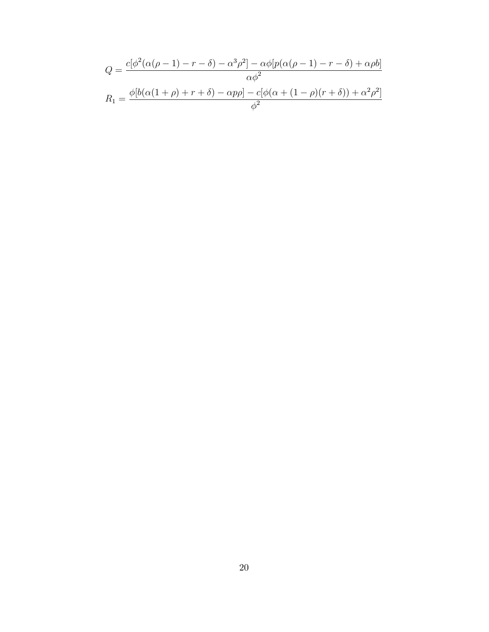$$
Q = \frac{c[\phi^2(\alpha(\rho - 1) - r - \delta) - \alpha^3 \rho^2] - \alpha\phi[p(\alpha(\rho - 1) - r - \delta) + \alpha\rho b]}{\alpha\phi^2}
$$

$$
R_1 = \frac{\phi[b(\alpha(1 + \rho) + r + \delta) - \alpha p\rho] - c[\phi(\alpha + (1 - \rho)(r + \delta)) + \alpha^2 \rho^2]}{\phi^2}
$$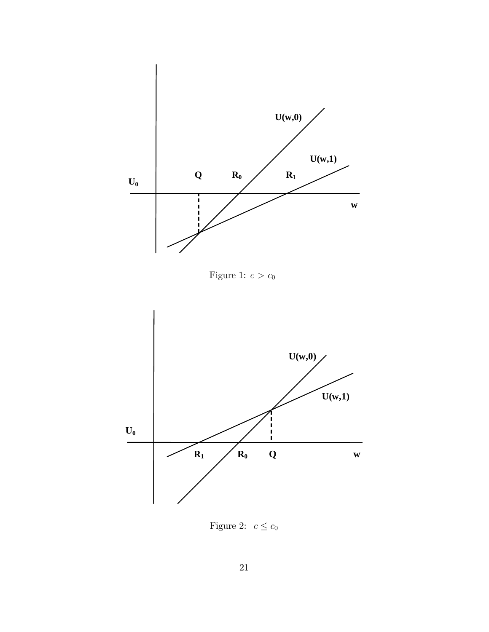

Figure 2:  $c \leq c_0$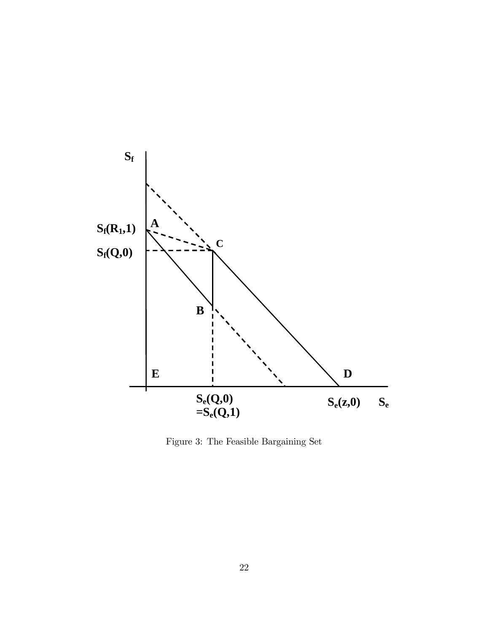

Figure 3: The Feasible Bargaining Set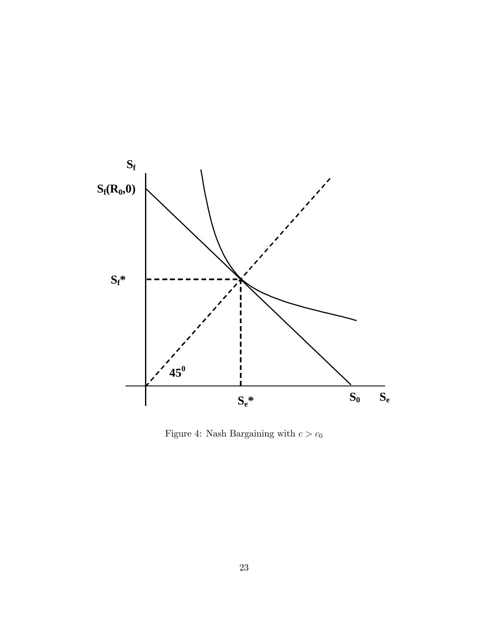

Figure 4: Nash Bargaining with  $c > c_0$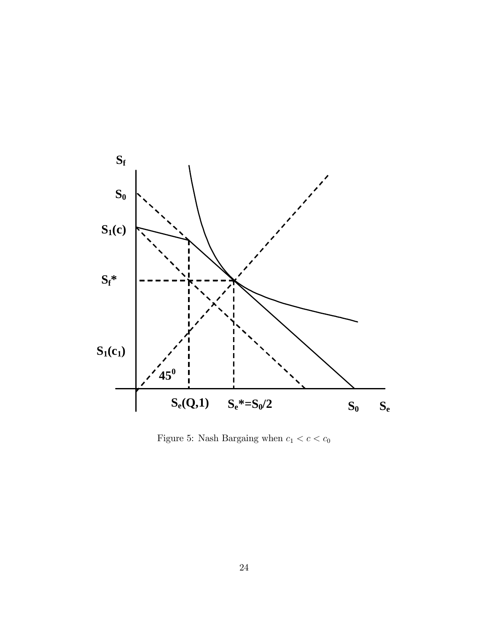

Figure 5: Nash Bargaing when  $c_1 < c < c_0$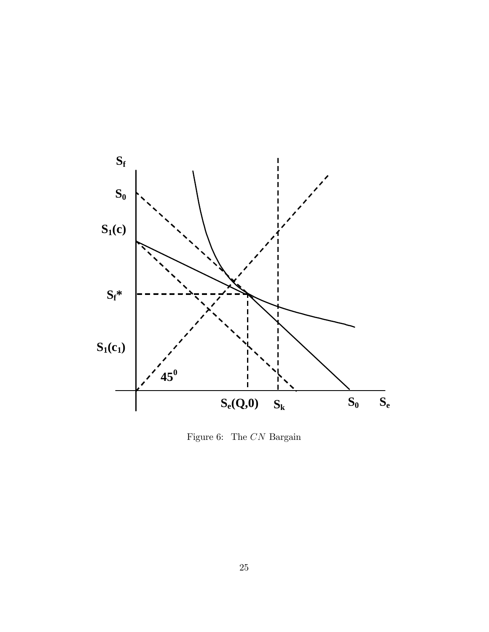

Figure 6: The  $CN$  Bargain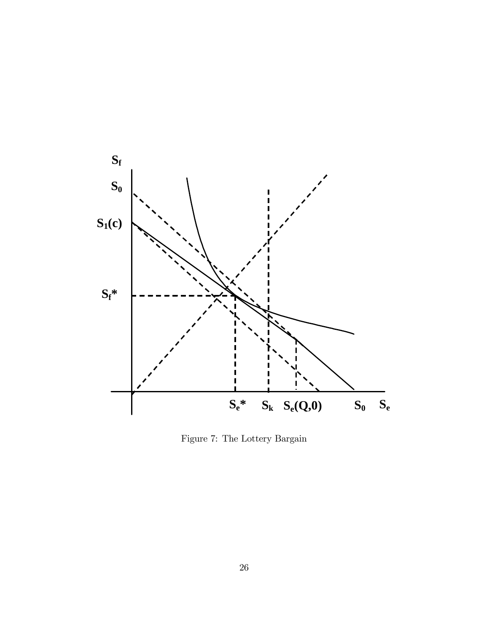

Figure 7: The Lottery Bargain